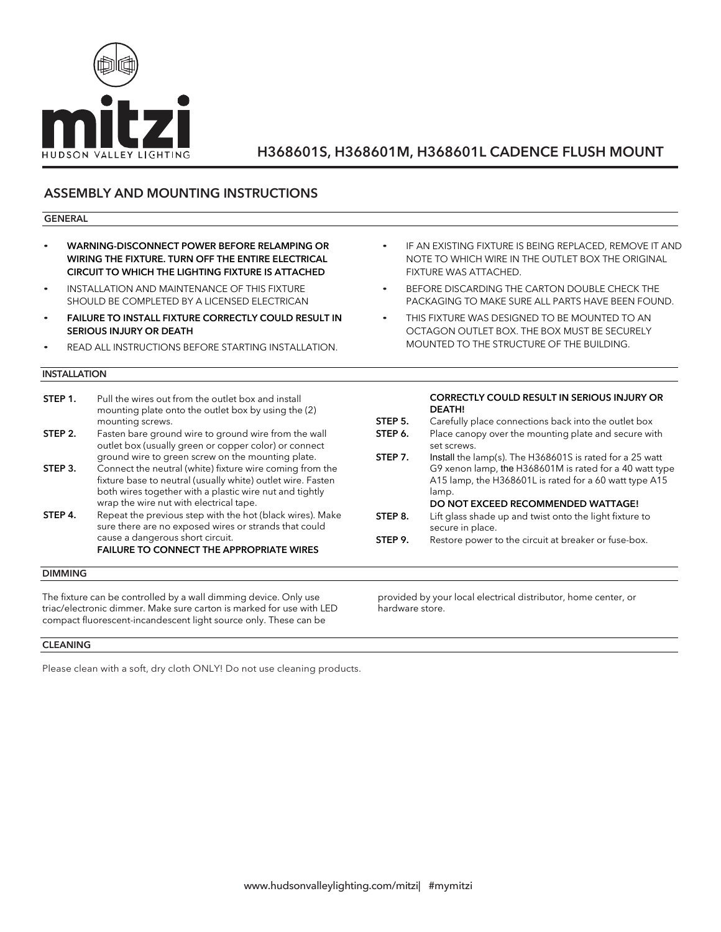

## ASSEMBLY AND MOUNTING INSTRUCTIONS

#### GENERAL

- WARNING-DISCONNECT POWER BEFORE RELAMPING OR WIRING THE FIXTURE. TURN OFF THE ENTIRE ELECTRICAL CIRCUIT TO WHICH THE LIGHTING FIXTURE IS ATTACHED
- INSTALLATION AND MAINTENANCE OF THIS FIXTURE SHOULD BE COMPLETED BY A LICENSED ELECTRICAN
- FAILURE TO INSTALL FIXTURE CORRECTLY COULD RESULT IN SERIOUS INJURY OR DEATH
- READ ALL INSTRUCTIONS BEFORE STARTING INSTALLATION.

### INSTALLATION

- **STEP 1.** Pull the wires out from the outlet box and install mounting plate onto the outlet box by using the (2) mounting screws.
- **STEP 2.** Fasten bare ground wire to ground wire from the wall outlet box (usually green or copper color) or connect ground wire to green screw on the mounting plate.
- **STEP 3.** Connect the neutral (white) fixture wire coming from the fixture base to neutral (usually white) outlet wire. Fasten both wires together with a plastic wire nut and tightly wrap the wire nut with electrical tape.
- **STEP 4.** Repeat the previous step with the hot (black wires). Make sure there are no exposed wires or strands that could cause a dangerous short circuit. FAILURE TO CONNECT THE APPROPRIATE WIRES

### DIMMING

The fixture can be controlled by a wall dimming device. Only use triac/electronic dimmer. Make sure carton is marked for use with LED compact fluorescent-incandescent light source only. These can be

#### CLEANING

Please clean with a soft, dry cloth ONLY! Do not use cleaning products.

- IF AN EXISTING FIXTURE IS BEING REPLACED, REMOVE IT AND NOTE TO WHICH WIRE IN THE OUTLET BOX THE ORIGINAL FIXTURE WAS ATTACHED.
- BEFORE DISCARDING THE CARTON DOUBLE CHECK THE PACKAGING TO MAKE SURE ALL PARTS HAVE BEEN FOUND.
- THIS FIXTURE WAS DESIGNED TO BE MOUNTED TO AN OCTAGON OUTLET BOX. THE BOX MUST BE SECURELY MOUNTED TO THE STRUCTURE OF THE BUILDING.

#### CORRECTLY COULD RESULT IN SERIOUS INJURY OR DEATH!

- **STEP 5.** Carefully place connections back into the outlet box
- **STEP 6.** Place canopy over the mounting plate and secure with set screws.
- **STEP 7.** Install the lamp(s). The H368601S is rated for a 25 watt G9 xenon lamp, the H368601M is rated for a 40 watt type A15 lamp, the H368601L is rated for a 60 watt type A15 lamp. DO NOT EXCEED RECOMMENDED WATTAGE!
- **STEP 8.** Lift glass shade up and twist onto the light fixture to secure in place.
- **STEP 9.** Restore power to the circuit at breaker or fuse-box.

provided by your local electrical distributor, home center, or hardware store.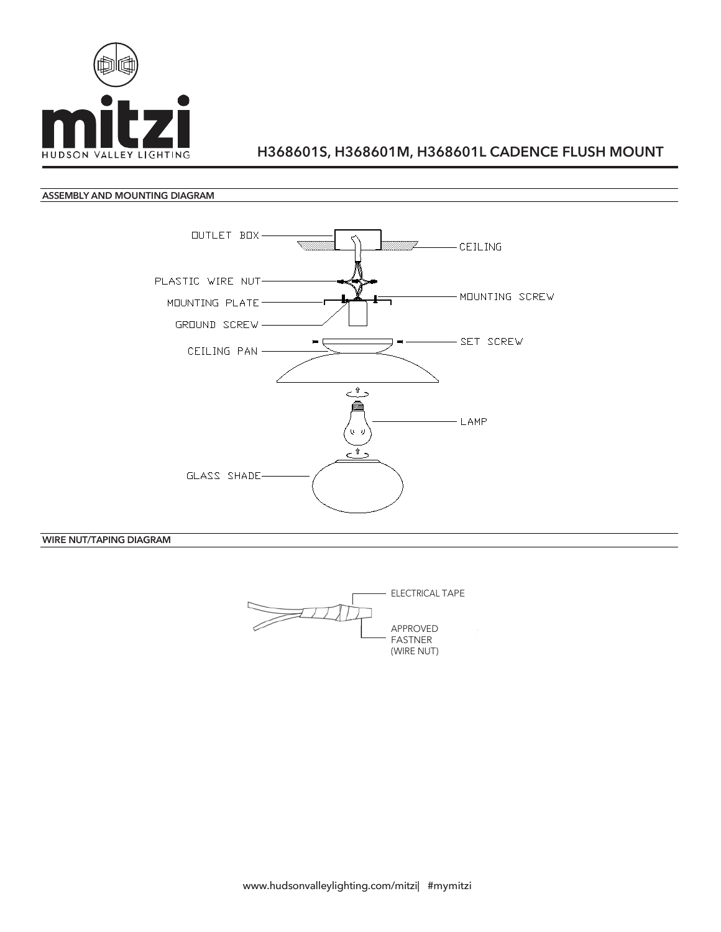

### ASSEMBLY AND MOUNTING DIAGRAM



WIRE NUT/TAPING DIAGRAM

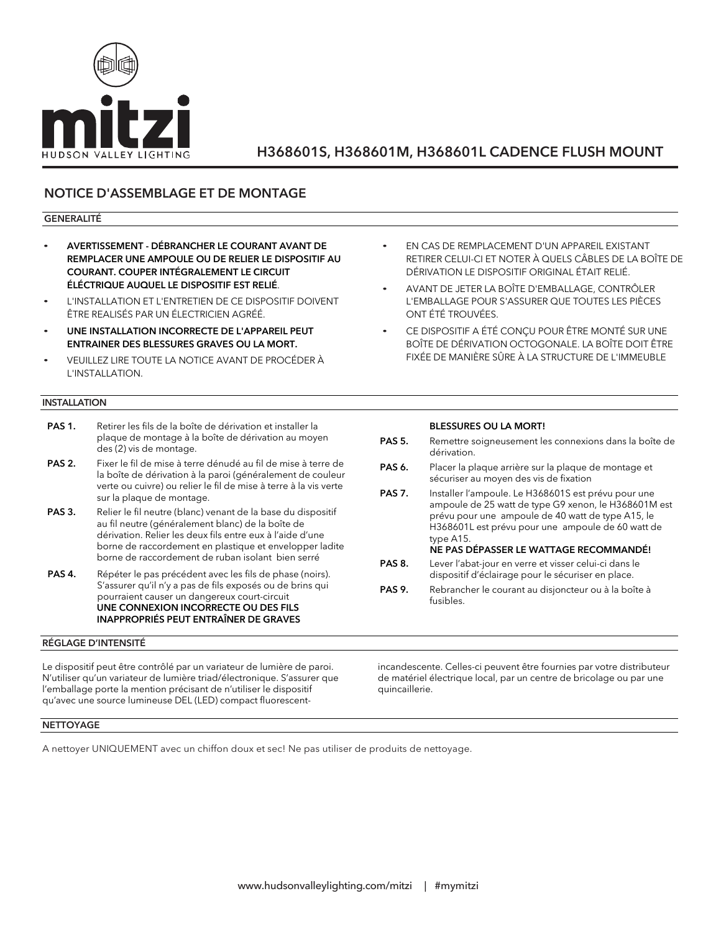

## NOTICE D'ASSEMBLAGE ET DE MONTAGE

### GENERALITÉ

- AVERTISSEMENT DÉBRANCHER LE COURANT AVANT DE REMPLACER UNE AMPOULE OU DE RELIER LE DISPOSITIF AU COURANT. COUPER INTÉGRALEMENT LE CIRCUIT ÉLÉCTRIQUE AUQUEL LE DISPOSITIF EST RELIÉ.
- L'INSTALLATION ET L'ENTRETIEN DE CE DISPOSITIF DOIVENT ÊTRE REALISÉS PAR UN ÉLECTRICIEN AGRÉÉ.
- UNE INSTALLATION INCORRECTE DE L'APPAREIL PEUT ENTRAINER DES BLESSURES GRAVES OU LA MORT.
- VEUILLEZ LIRE TOUTE LA NOTICE AVANT DE PROCÉDER À L'INSTALLATION.

### **INSTALLATION**

- PAS 1. Retirer les fils de la boîte de dérivation et installer la plaque de montage à la boîte de dérivation au moyen des (2) vis de montage.
- PAS 2. Fixer le fil de mise à terre dénudé au fil de mise à terre de la boîte de dérivation à la paroi (généralement de couleur verte ou cuivre) ou relier le fil de mise à terre à la vis verte sur la plaque de montage.
- PAS 3. Relier le fil neutre (blanc) venant de la base du dispositif au fil neutre (généralement blanc) de la boîte de dérivation. Relier les deux fils entre eux à l'aide d'une borne de raccordement en plastique et envelopper ladite borne de raccordement de ruban isolant bien serré
- PAS 4. Répéter le pas précédent avec les fils de phase (noirs). S'assurer qu'il n'y a pas de fils exposés ou de brins qui pourraient causer un dangereux court-circuit UNE CONNEXION INCORRECTE OU DES FILS INAPPROPRIÉS PEUT ENTRAÎNER DE GRAVES

#### RÉGLAGE D'INTENSITÉ

Le dispositif peut être contrôlé par un variateur de lumière de paroi. N'utiliser qu'un variateur de lumière triad/électronique. S'assurer que l'emballage porte la mention précisant de n'utiliser le dispositif qu'avec une source lumineuse DEL (LED) compact fluorescent-

- EN CAS DE REMPLACEMENT D'UN APPAREIL EXISTANT RETIRER CELUI-CI ET NOTER À QUELS CÂBLES DE LA BOÎTE DE DÉRIVATION LE DISPOSITIF ORIGINAL ÉTAIT RELIÉ.
- AVANT DE JETER LA BOÎTE D'EMBALLAGE, CONTRÔLER L'EMBALLAGE POUR S'ASSURER QUE TOUTES LES PIÈCES ONT ÉTÉ TROUVÉES.
- CE DISPOSITIF A ÉTÉ CONÇU POUR ÊTRE MONTÉ SUR UNE BOÎTE DE DÉRIVATION OCTOGONALE. LA BOÎTE DOIT ÊTRE FIXÉE DE MANIÈRE SÛRE À LA STRUCTURE DE L'IMMEUBLE

#### BLESSURES OU LA MORT!

- PAS 5. Remettre soigneusement les connexions dans la boîte de dérivation.
- PAS 6. Placer la plaque arrière sur la plaque de montage et sécuriser au moyen des vis de fixation
- PAS 7. Installer l'ampoule. Le H368601S est prévu pour une ampoule de 25 watt de type G9 xenon, le H368601M est prévu pour une ampoule de 40 watt de type A15, le H368601L est prévu pour une ampoule de 60 watt de type A15.

### NE PAS DÉPASSER LE WATTAGE RECOMMANDÉ!

- PAS 8. Lever l'abat-jour en verre et visser celui-ci dans le dispositif d'éclairage pour le sécuriser en place.
- PAS 9. Rebrancher le courant au disjoncteur ou à la boîte à fusibles.

incandescente. Celles-ci peuvent être fournies par votre distributeur de matériel électrique local, par un centre de bricolage ou par une quincaillerie.

### NETTOYAGE

A nettoyer UNIQUEMENT avec un chiffon doux et sec! Ne pas utiliser de produits de nettoyage.